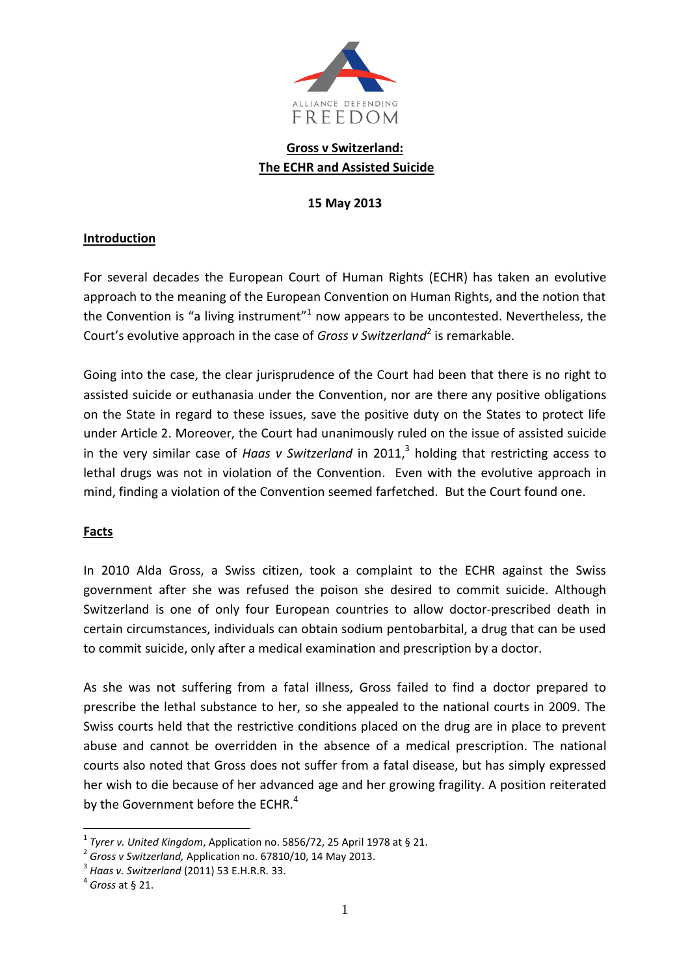

# **Gross v Switzerland: The ECHR and Assisted Suicide**

## **15 May 2013**

## **Introduction**

For several decades the European Court of Human Rights (ECHR) has taken an evolutive approach to the meaning of the European Convention on Human Rights, and the notion that the Convention is "a living instrument" $1$  now appears to be uncontested. Nevertheless, the Court's evolutive approach in the case of *Gross v Switzerland*<sup>2</sup> is remarkable.

Going into the case, the clear jurisprudence of the Court had been that there is no right to assisted suicide or euthanasia under the Convention, nor are there any positive obligations on the State in regard to these issues, save the positive duty on the States to protect life under Article 2. Moreover, the Court had unanimously ruled on the issue of assisted suicide in the very similar case of *Haas v Switzerland* in 2011, 3 holding that restricting access to lethal drugs was not in violation of the Convention. Even with the evolutive approach in mind, finding a violation of the Convention seemed farfetched. But the Court found one.

#### **Facts**

In 2010 Alda Gross, a Swiss citizen, took a complaint to the ECHR against the Swiss government after she was refused the poison she desired to commit suicide. Although Switzerland is one of only four European countries to allow doctor-prescribed death in certain circumstances, individuals can obtain sodium pentobarbital, a drug that can be used to commit suicide, only after a medical examination and prescription by a doctor.

As she was not suffering from a fatal illness, Gross failed to find a doctor prepared to prescribe the lethal substance to her, so she appealed to the national courts in 2009. The Swiss courts held that the restrictive conditions placed on the drug are in place to prevent abuse and cannot be overridden in the absence of a medical prescription. The national courts also noted that Gross does not suffer from a fatal disease, but has simply expressed her wish to die because of her advanced age and her growing fragility. A position reiterated by the Government before the ECHR.<sup>4</sup>

<u>.</u>

<sup>1</sup> *Tyrer v. United Kingdom*, Application no. 5856/72, 25 April 1978 at § 21.

<sup>2</sup> *Gross v Switzerland,* Application no. 67810/10, 14 May 2013.

<sup>3</sup> *Haas v. Switzerland* (2011) 53 E.H.R.R. 33.

<sup>4</sup> *Gross* at § 21.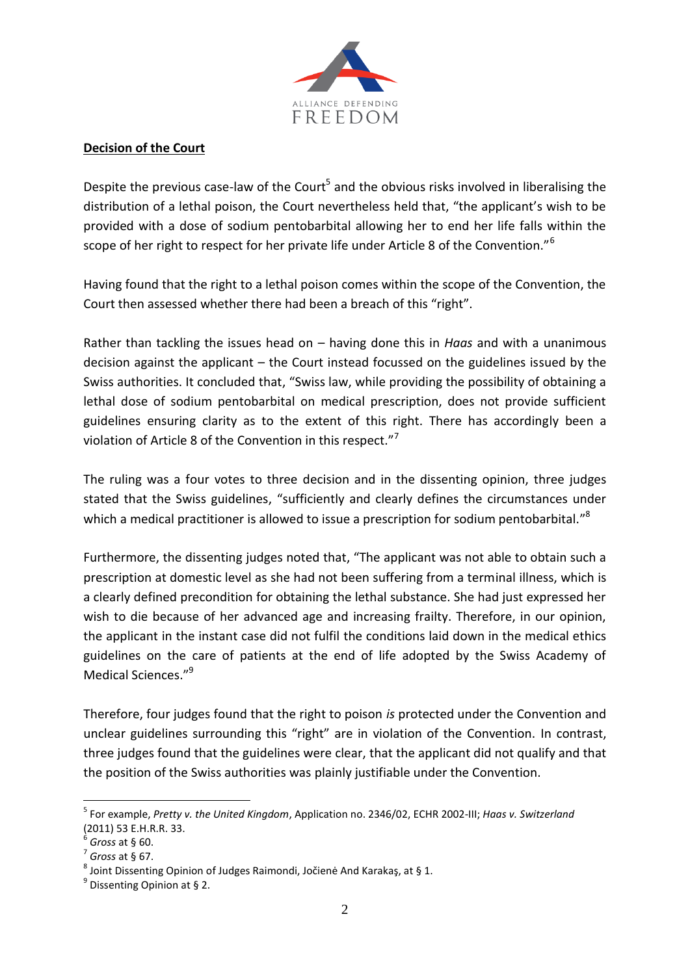

## **Decision of the Court**

Despite the previous case-law of the Court<sup>5</sup> and the obvious risks involved in liberalising the distribution of a lethal poison, the Court nevertheless held that, "the applicant's wish to be provided with a dose of sodium pentobarbital allowing her to end her life falls within the scope of her right to respect for her private life under Article 8 of the Convention."<sup>6</sup>

Having found that the right to a lethal poison comes within the scope of the Convention, the Court then assessed whether there had been a breach of this "right".

Rather than tackling the issues head on – having done this in *Haas* and with a unanimous decision against the applicant – the Court instead focussed on the guidelines issued by the Swiss authorities. It concluded that, "Swiss law, while providing the possibility of obtaining a lethal dose of sodium pentobarbital on medical prescription, does not provide sufficient guidelines ensuring clarity as to the extent of this right. There has accordingly been a violation of Article 8 of the Convention in this respect."<sup>7</sup>

The ruling was a four votes to three decision and in the dissenting opinion, three judges stated that the Swiss guidelines, "sufficiently and clearly defines the circumstances under which a medical practitioner is allowed to issue a prescription for sodium pentobarbital."<sup>8</sup>

Furthermore, the dissenting judges noted that, "The applicant was not able to obtain such a prescription at domestic level as she had not been suffering from a terminal illness, which is a clearly defined precondition for obtaining the lethal substance. She had just expressed her wish to die because of her advanced age and increasing frailty. Therefore, in our opinion, the applicant in the instant case did not fulfil the conditions laid down in the medical ethics guidelines on the care of patients at the end of life adopted by the Swiss Academy of Medical Sciences<sup>"9</sup>

Therefore, four judges found that the right to poison *is* protected under the Convention and unclear guidelines surrounding this "right" are in violation of the Convention. In contrast, three judges found that the guidelines were clear, that the applicant did not qualify and that the position of the Swiss authorities was plainly justifiable under the Convention.

<u>.</u>

<sup>5</sup> For example, *Pretty v. the United Kingdom*, Application no. [2346/02,](http://hudoc.echr.coe.int/sites/eng/Pages/search.aspx#{"appno":["2346/02"]}) ECHR 2002-III; *Haas v. Switzerland* (2011) 53 E.H.R.R. 33.

<sup>6</sup> *Gross* at § 60.

<sup>7</sup> *Gross* at § 67.

 $^8$  Joint Dissenting Opinion of Judges Raimondi, Jočienė And Karakaş, at § 1.

<sup>&</sup>lt;sup>9</sup> Dissenting Opinion at § 2.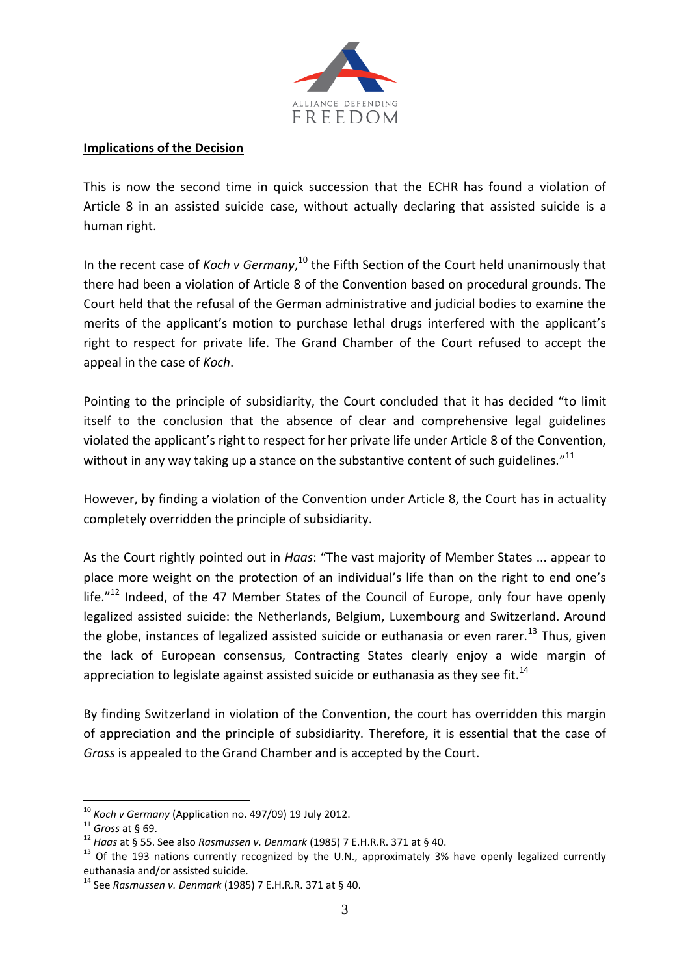

#### **Implications of the Decision**

This is now the second time in quick succession that the ECHR has found a violation of Article 8 in an assisted suicide case, without actually declaring that assisted suicide is a human right.

In the recent case of *Koch v Germany*, <sup>10</sup> the Fifth Section of the Court held unanimously that there had been a violation of Article 8 of the Convention based on procedural grounds. The Court held that the refusal of the German administrative and judicial bodies to examine the merits of the applicant's motion to purchase lethal drugs interfered with the applicant's right to respect for private life. The Grand Chamber of the Court refused to accept the appeal in the case of *Koch*.

Pointing to the principle of subsidiarity, the Court concluded that it has decided "to limit itself to the conclusion that the absence of clear and comprehensive legal guidelines violated the applicant's right to respect for her private life under Article 8 of the Convention, without in any way taking up a stance on the substantive content of such guidelines." $^{11}$ 

However, by finding a violation of the Convention under Article 8, the Court has in actuality completely overridden the principle of subsidiarity.

As the Court rightly pointed out in *Haas*: "The vast majority of Member States ... appear to place more weight on the protection of an individual's life than on the right to end one's life. $12$  Indeed, of the 47 Member States of the Council of Europe, only four have openly legalized assisted suicide: the Netherlands, Belgium, Luxembourg and Switzerland. Around the globe, instances of legalized assisted suicide or euthanasia or even rarer.<sup>13</sup> Thus, given the lack of European consensus, Contracting States clearly enjoy a wide margin of appreciation to legislate against assisted suicide or euthanasia as they see fit.<sup>14</sup>

By finding Switzerland in violation of the Convention, the court has overridden this margin of appreciation and the principle of subsidiarity. Therefore, it is essential that the case of *Gross* is appealed to the Grand Chamber and is accepted by the Court.

<u>.</u>

<sup>10</sup> *Koch v Germany* (Application no. 497/09) 19 July 2012.

<sup>11</sup> *Gross* at § 69.

<sup>12</sup> *Haas* at § 55. See also *Rasmussen v. Denmark* (1985) 7 E.H.R.R. 371 at § 40.

<sup>&</sup>lt;sup>13</sup> Of the 193 nations currently recognized by the U.N., approximately 3% have openly legalized currently euthanasia and/or assisted suicide.

<sup>14</sup> See *Rasmussen v. Denmark* (1985) 7 E.H.R.R. 371 at § 40.